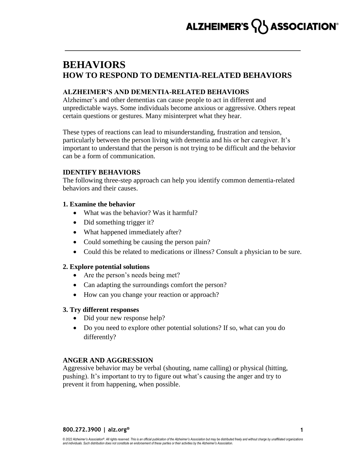# ALZHEIMER'S **ASSOCIATION**®

## **BEHAVIORS HOW TO RESPOND TO DEMENTIA-RELATED BEHAVIORS**

## **ALZHEIMER'S AND DEMENTIA-RELATED BEHAVIORS**

Alzheimer's and other dementias can cause people to act in different and unpredictable ways. Some individuals become anxious or aggressive. Others repeat certain questions or gestures. Many misinterpret what they hear.

These types of reactions can lead to misunderstanding, frustration and tension, particularly between the person living with dementia and his or her caregiver. It's important to understand that the person is not trying to be difficult and the behavior can be a form of communication.

## **IDENTIFY BEHAVIORS**

The following three-step approach can help you identify common dementia-related behaviors and their causes.

## **1. Examine the behavior**

- What was the behavior? Was it harmful?
- Did something trigger it?
- What happened immediately after?
- Could something be causing the person pain?
- Could this be related to medications or illness? Consult a physician to be sure.

## **2. Explore potential solutions**

- Are the person's needs being met?
- Can adapting the surroundings comfort the person?
- How can you change your reaction or approach?

## **3. Try different responses**

- Did your new response help?
- Do you need to explore other potential solutions? If so, what can you do differently?

## **ANGER AND AGGRESSION**

Aggressive behavior may be verbal (shouting, name calling) or physical (hitting, pushing). It's important to try to figure out what's causing the anger and try to prevent it from happening, when possible.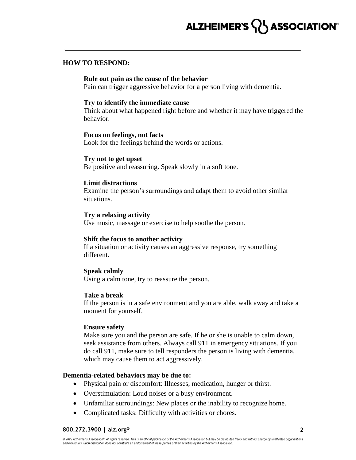## **HOW TO RESPOND:**

#### **Rule out pain as the cause of the behavior**

Pain can trigger aggressive behavior for a person living with dementia.

#### **Try to identify the immediate cause**

Think about what happened right before and whether it may have triggered the behavior.

#### **Focus on feelings, not facts**

Look for the feelings behind the words or actions.

#### **Try not to get upset**

Be positive and reassuring. Speak slowly in a soft tone.

#### **Limit distractions**

Examine the person's surroundings and adapt them to avoid other similar situations.

## **Try a relaxing activity**

Use music, massage or exercise to help soothe the person.

## **Shift the focus to another activity**

If a situation or activity causes an aggressive response, try something different.

## **Speak calmly**

Using a calm tone, try to reassure the person.

#### **Take a break**

If the person is in a safe environment and you are able, walk away and take a moment for yourself.

#### **Ensure safety**

Make sure you and the person are safe. If he or she is unable to calm down, seek assistance from others. Always call 911 in emergency situations. If you do call 911, make sure to tell responders the person is living with dementia, which may cause them to act aggressively.

#### **Dementia-related behaviors may be due to:**

- Physical pain or discomfort: Illnesses, medication, hunger or thirst.
- Overstimulation: Loud noises or a busy environment.
- Unfamiliar surroundings: New places or the inability to recognize home.
- Complicated tasks: Difficulty with activities or chores.

#### **800.272.3900 | alz.org®**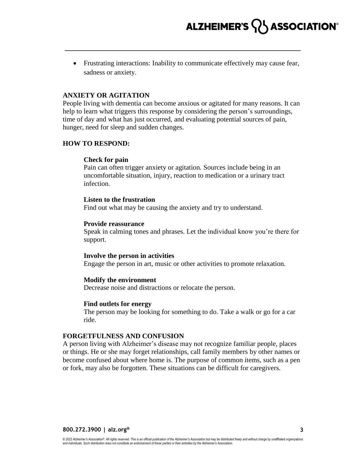Frustrating interactions: Inability to communicate effectively may cause fear, sadness or anxiety.

## **ANXIETY OR AGITATION**

People living with dementia can become anxious or agitated for many reasons. It can help to learn what triggers this response by considering the person's surroundings, time of day and what has just occurred, and evaluating potential sources of pain, hunger, need for sleep and sudden changes.

## **HOW TO RESPOND:**

## **Check for pain**

Pain can often trigger anxiety or agitation. Sources include being in an uncomfortable situation, injury, reaction to medication or a urinary tract infection.

## **Listen to the frustration**

Find out what may be causing the anxiety and try to understand.

## **Provide reassurance**

Speak in calming tones and phrases. Let the individual know you're there for support.

## **Involve the person in activities**

Engage the person in art, music or other activities to promote relaxation.

## **Modify the environment**

Decrease noise and distractions or relocate the person.

## **Find outlets for energy**

The person may be looking for something to do. Take a walk or go for a car ride.

## **FORGETFULNESS AND CONFUSION**

A person living with Alzheimer's disease may not recognize familiar people, places or things. He or she may forget relationships, call family members by other names or become confused about where home is. The purpose of common items, such as a pen or fork, may also be forgotten. These situations can be difficult for caregivers.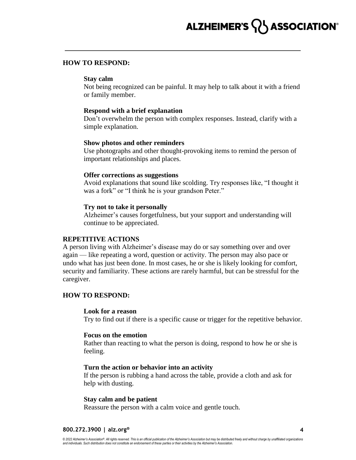#### **HOW TO RESPOND:**

#### **Stay calm**

Not being recognized can be painful. It may help to talk about it with a friend or family member.

#### **Respond with a brief explanation**

Don't overwhelm the person with complex responses. Instead, clarify with a simple explanation.

#### **Show photos and other reminders**

Use photographs and other thought-provoking items to remind the person of important relationships and places.

#### **Offer corrections as suggestions**

Avoid explanations that sound like scolding. Try responses like, "I thought it was a fork" or "I think he is your grandson Peter."

#### **Try not to take it personally**

Alzheimer's causes forgetfulness, but your support and understanding will continue to be appreciated.

#### **REPETITIVE ACTIONS**

A person living with Alzheimer's disease may do or say something over and over again — like repeating a word, question or activity. The person may also pace or undo what has just been done. In most cases, he or she is likely looking for comfort, security and familiarity. These actions are rarely harmful, but can be stressful for the caregiver.

## **HOW TO RESPOND:**

#### **Look for a reason**

Try to find out if there is a specific cause or trigger for the repetitive behavior.

#### **Focus on the emotion**

Rather than reacting to what the person is doing, respond to how he or she is feeling.

### **Turn the action or behavior into an activity**

If the person is rubbing a hand across the table, provide a cloth and ask for help with dusting.

#### **Stay calm and be patient**

Reassure the person with a calm voice and gentle touch.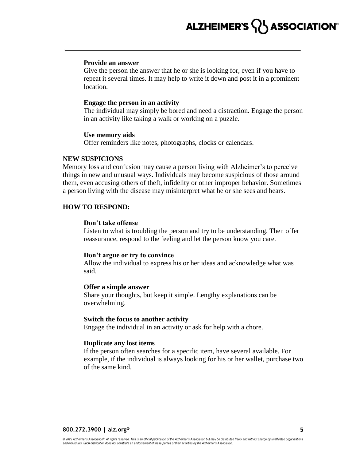#### **Provide an answer**

Give the person the answer that he or she is looking for, even if you have to repeat it several times. It may help to write it down and post it in a prominent location.

#### **Engage the person in an activity**

The individual may simply be bored and need a distraction. Engage the person in an activity like taking a walk or working on a puzzle.

#### **Use memory aids**

Offer reminders like notes, photographs, clocks or calendars.

#### **NEW SUSPICIONS**

Memory loss and confusion may cause a person living with Alzheimer's to perceive things in new and unusual ways. Individuals may become suspicious of those around them, even accusing others of theft, infidelity or other improper behavior. Sometimes a person living with the disease may misinterpret what he or she sees and hears.

## **HOW TO RESPOND:**

#### **Don't take offense**

Listen to what is troubling the person and try to be understanding. Then offer reassurance, respond to the feeling and let the person know you care.

#### **Don't argue or try to convince**

Allow the individual to express his or her ideas and acknowledge what was said.

#### **Offer a simple answer**

Share your thoughts, but keep it simple. Lengthy explanations can be overwhelming.

## **Switch the focus to another activity**

Engage the individual in an activity or ask for help with a chore.

#### **Duplicate any lost items**

If the person often searches for a specific item, have several available. For example, if the individual is always looking for his or her wallet, purchase two of the same kind.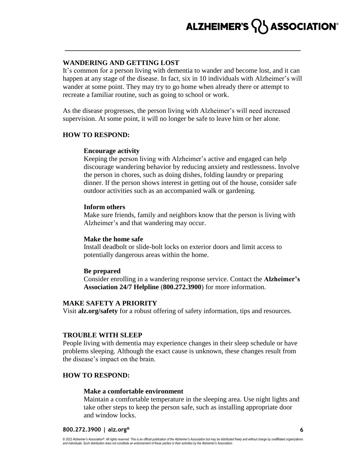## **WANDERING AND GETTING LOST**

It's common for a person living with dementia to wander and become lost, and it can happen at any stage of the disease. In fact, six in 10 individuals with Alzheimer's will wander at some point. They may try to go home when already there or attempt to recreate a familiar routine, such as going to school or work.

As the disease progresses, the person living with Alzheimer's will need increased supervision. At some point, it will no longer be safe to leave him or her alone.

## **HOW TO RESPOND:**

### **Encourage activity**

Keeping the person living with Alzheimer's active and engaged can help discourage wandering behavior by reducing anxiety and restlessness. Involve the person in chores, such as doing dishes, folding laundry or preparing dinner. If the person shows interest in getting out of the house, consider safe outdoor activities such as an accompanied walk or gardening.

#### **Inform others**

Make sure friends, family and neighbors know that the person is living with Alzheimer's and that wandering may occur.

#### **Make the home safe**

Install deadbolt or slide-bolt locks on exterior doors and limit access to potentially dangerous areas within the home.

## **Be prepared**

Consider enrolling in a wandering response service. Contact the **Alzheimer's Association 24/7 Helpline** (**800.272.3900**) for more information.

#### **MAKE SAFETY A PRIORITY**

Visit **alz.org/safety** for a robust offering of safety information, tips and resources.

## **TROUBLE WITH SLEEP**

People living with dementia may experience changes in their sleep schedule or have problems sleeping. Although the exact cause is unknown, these changes result from the disease's impact on the brain.

## **HOW TO RESPOND:**

#### **Make a comfortable environment**

Maintain a comfortable temperature in the sleeping area. Use night lights and take other steps to keep the person safe, such as installing appropriate door and window locks.